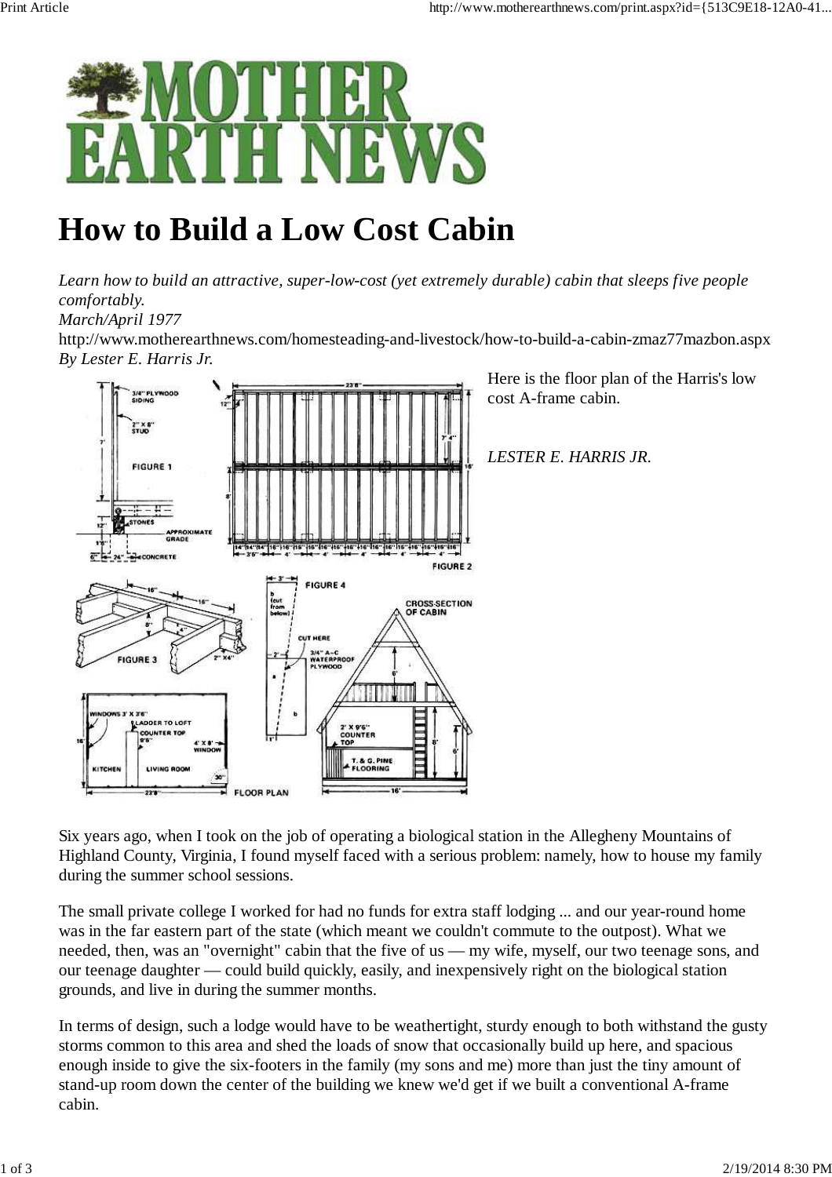

# **How to Build a Low Cost Cabin**

*Learn how to build an attractive, super-low-cost (yet extremely durable) cabin that sleeps five people comfortably.*

*March/April 1977*

http://www.motherearthnews.com/homesteading-and-livestock/how-to-build-a-cabin-zmaz77mazbon.aspx *By Lester E. Harris Jr.*



Here is the floor plan of the Harris's low cost A-frame cabin.

*LESTER E. HARRIS JR.*

Six years ago, when I took on the job of operating a biological station in the Allegheny Mountains of Highland County, Virginia, I found myself faced with a serious problem: namely, how to house my family during the summer school sessions.

The small private college I worked for had no funds for extra staff lodging ... and our year-round home was in the far eastern part of the state (which meant we couldn't commute to the outpost). What we needed, then, was an "overnight" cabin that the five of us — my wife, myself, our two teenage sons, and our teenage daughter — could build quickly, easily, and inexpensively right on the biological station grounds, and live in during the summer months.

In terms of design, such a lodge would have to be weathertight, sturdy enough to both withstand the gusty storms common to this area and shed the loads of snow that occasionally build up here, and spacious enough inside to give the six-footers in the family (my sons and me) more than just the tiny amount of stand-up room down the center of the building we knew we'd get if we built a conventional A-frame cabin.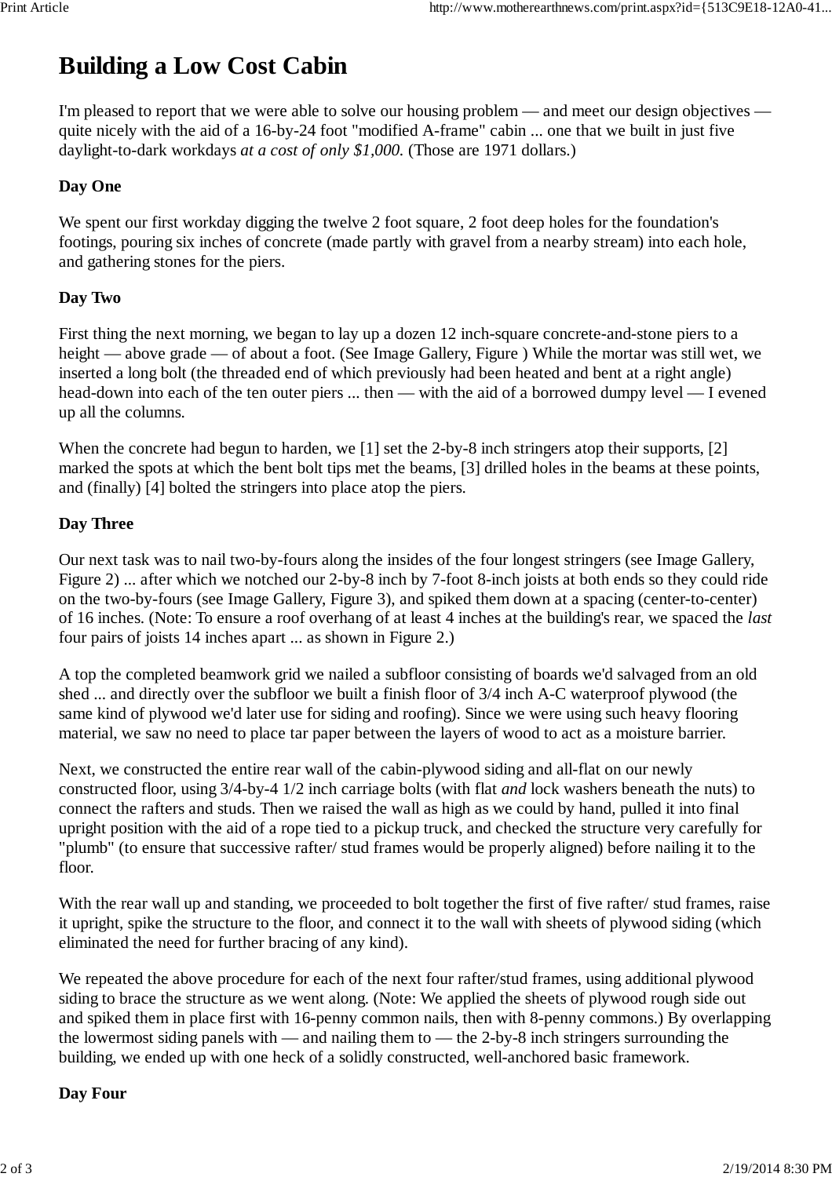## **Building a Low Cost Cabin**

I'm pleased to report that we were able to solve our housing problem — and meet our design objectives quite nicely with the aid of a 16-by-24 foot "modified A-frame" cabin ... one that we built in just five daylight-to-dark workdays *at a cost of only \$1,000.* (Those are 1971 dollars.)

#### **Day One**

We spent our first workday digging the twelve 2 foot square, 2 foot deep holes for the foundation's footings, pouring six inches of concrete (made partly with gravel from a nearby stream) into each hole, and gathering stones for the piers.

#### **Day Two**

First thing the next morning, we began to lay up a dozen 12 inch-square concrete-and-stone piers to a height — above grade — of about a foot. (See Image Gallery, Figure ) While the mortar was still wet, we inserted a long bolt (the threaded end of which previously had been heated and bent at a right angle) head-down into each of the ten outer piers ... then — with the aid of a borrowed dumpy level — I evened up all the columns.

When the concrete had begun to harden, we [1] set the 2-by-8 inch stringers atop their supports, [2] marked the spots at which the bent bolt tips met the beams, [3] drilled holes in the beams at these points, and (finally) [4] bolted the stringers into place atop the piers.

#### **Day Three**

Our next task was to nail two-by-fours along the insides of the four longest stringers (see Image Gallery, Figure 2) ... after which we notched our 2-by-8 inch by 7-foot 8-inch joists at both ends so they could ride on the two-by-fours (see Image Gallery, Figure 3), and spiked them down at a spacing (center-to-center) of 16 inches. (Note: To ensure a roof overhang of at least 4 inches at the building's rear, we spaced the *last* four pairs of joists 14 inches apart ... as shown in Figure 2.)

A top the completed beamwork grid we nailed a subfloor consisting of boards we'd salvaged from an old shed ... and directly over the subfloor we built a finish floor of 3/4 inch A-C waterproof plywood (the same kind of plywood we'd later use for siding and roofing). Since we were using such heavy flooring material, we saw no need to place tar paper between the layers of wood to act as a moisture barrier.

Next, we constructed the entire rear wall of the cabin-plywood siding and all-flat on our newly constructed floor, using 3/4-by-4 1/2 inch carriage bolts (with flat *and* lock washers beneath the nuts) to connect the rafters and studs. Then we raised the wall as high as we could by hand, pulled it into final upright position with the aid of a rope tied to a pickup truck, and checked the structure very carefully for "plumb" (to ensure that successive rafter/ stud frames would be properly aligned) before nailing it to the floor.

With the rear wall up and standing, we proceeded to bolt together the first of five rafter/ stud frames, raise it upright, spike the structure to the floor, and connect it to the wall with sheets of plywood siding (which eliminated the need for further bracing of any kind).

We repeated the above procedure for each of the next four rafter/stud frames, using additional plywood siding to brace the structure as we went along. (Note: We applied the sheets of plywood rough side out and spiked them in place first with 16-penny common nails, then with 8-penny commons.) By overlapping the lowermost siding panels with — and nailing them to — the 2-by-8 inch stringers surrounding the building, we ended up with one heck of a solidly constructed, well-anchored basic framework.

#### **Day Four**